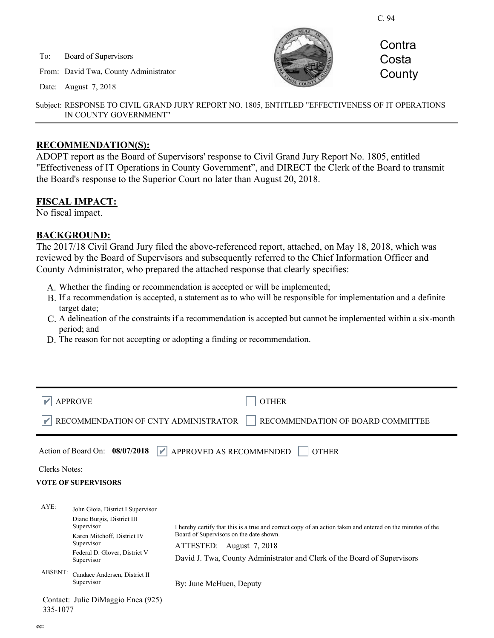C. 94

To: Board of Supervisors

From: David Twa, County Administrator

Date: August 7, 2018



**Contra Costa County** 

Subject: RESPONSE TO CIVIL GRAND JURY REPORT NO. 1805, ENTITLED "EFFECTIVENESS OF IT OPERATIONS IN COUNTY GOVERNMENT"

#### **RECOMMENDATION(S):**

ADOPT report as the Board of Supervisors' response to Civil Grand Jury Report No. 1805, entitled "Effectiveness of IT Operations in County Government", and DIRECT the Clerk of the Board to transmit the Board's response to the Superior Court no later than August 20, 2018.

#### **FISCAL IMPACT:**

No fiscal impact.

#### **BACKGROUND:**

The 2017/18 Civil Grand Jury filed the above-referenced report, attached, on May 18, 2018, which was reviewed by the Board of Supervisors and subsequently referred to the Chief Information Officer and County Administrator, who prepared the attached response that clearly specifies:

- A. Whether the finding or recommendation is accepted or will be implemented;
- B. If a recommendation is accepted, a statement as to who will be responsible for implementation and a definite target date;
- A delineation of the constraints if a recommendation is accepted but cannot be implemented within a six-month C. period; and
- D. The reason for not accepting or adopting a finding or recommendation.

| <b>APPROVE</b>                                                                                                                                                                       | <b>OTHER</b>                                                                                                                                                                                                                                                  |
|--------------------------------------------------------------------------------------------------------------------------------------------------------------------------------------|---------------------------------------------------------------------------------------------------------------------------------------------------------------------------------------------------------------------------------------------------------------|
| RECOMMENDATION OF CNTY ADMINISTRATOR<br>RECOMMENDATION OF BOARD COMMITTEE                                                                                                            |                                                                                                                                                                                                                                                               |
| Action of Board On: 08/07/2018                                                                                                                                                       | $\blacktriangleright$ APPROVED AS RECOMMENDED<br><b>OTHER</b>                                                                                                                                                                                                 |
| <b>Clerks Notes:</b>                                                                                                                                                                 |                                                                                                                                                                                                                                                               |
| <b>VOTE OF SUPERVISORS</b>                                                                                                                                                           |                                                                                                                                                                                                                                                               |
| $AYE$ :<br>John Gioia, District I Supervisor<br>Diane Burgis, District III<br>Supervisor<br>Karen Mitchoff, District IV<br>Supervisor<br>Federal D. Glover, District V<br>Supervisor | I hereby certify that this is a true and correct copy of an action taken and entered on the minutes of the<br>Board of Supervisors on the date shown.<br>ATTESTED: August 7, 2018<br>David J. Twa, County Administrator and Clerk of the Board of Supervisors |
| <b>ABSENT:</b><br>Candace Andersen, District II<br>Supervisor                                                                                                                        | By: June McHuen, Deputy                                                                                                                                                                                                                                       |
| Contact: Julie DiMaggio Enea (925)<br>335-1077                                                                                                                                       |                                                                                                                                                                                                                                                               |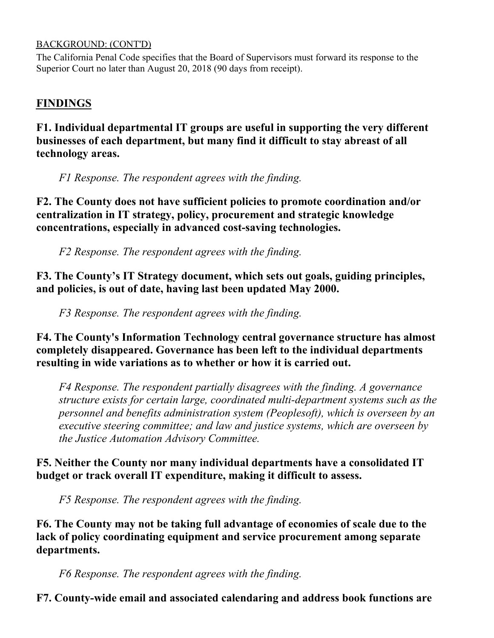#### BACKGROUND: (CONT'D)

The California Penal Code specifies that the Board of Supervisors must forward its response to the Superior Court no later than August 20, 2018 (90 days from receipt).

### **FINDINGS**

**F1. Individual departmental IT groups are useful in supporting the very different businesses of each department, but many find it difficult to stay abreast of all technology areas.**

*F1 Response. The respondent agrees with the finding.*

**F2. The County does not have sufficient policies to promote coordination and/or centralization in IT strategy, policy, procurement and strategic knowledge concentrations, especially in advanced cost-saving technologies.**

*F2 Response. The respondent agrees with the finding.*

**F3. The County's IT Strategy document, which sets out goals, guiding principles, and policies, is out of date, having last been updated May 2000.**

*F3 Response. The respondent agrees with the finding.* 

**F4. The County's Information Technology central governance structure has almost completely disappeared. Governance has been left to the individual departments resulting in wide variations as to whether or how it is carried out.**

*F4 Response. The respondent partially disagrees with the finding. A governance structure exists for certain large, coordinated multi-department systems such as the personnel and benefits administration system (Peoplesoft), which is overseen by an executive steering committee; and law and justice systems, which are overseen by the Justice Automation Advisory Committee.* 

**F5. Neither the County nor many individual departments have a consolidated IT budget or track overall IT expenditure, making it difficult to assess.**

*F5 Response. The respondent agrees with the finding.*

**F6. The County may not be taking full advantage of economies of scale due to the lack of policy coordinating equipment and service procurement among separate departments.**

*F6 Response. The respondent agrees with the finding.*

**F7. County-wide email and associated calendaring and address book functions are**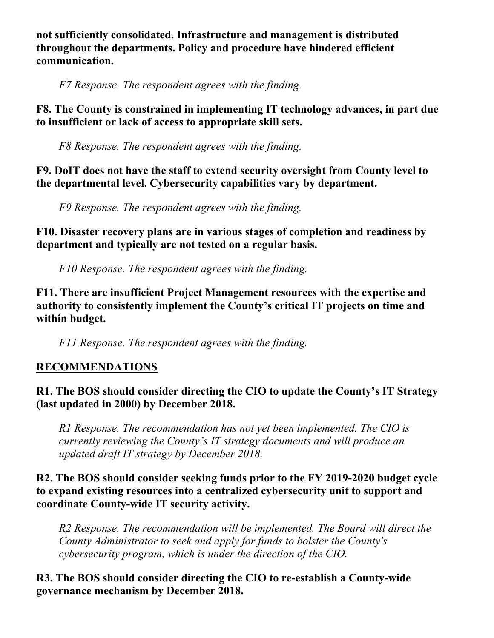**not sufficiently consolidated. Infrastructure and management is distributed throughout the departments. Policy and procedure have hindered efficient communication.**

*F7 Response. The respondent agrees with the finding.* 

**F8. The County is constrained in implementing IT technology advances, in part due to insufficient or lack of access to appropriate skill sets.**

*F8 Response. The respondent agrees with the finding.* 

**F9. DoIT does not have the staff to extend security oversight from County level to the departmental level. Cybersecurity capabilities vary by department.**

*F9 Response. The respondent agrees with the finding.* 

**F10. Disaster recovery plans are in various stages of completion and readiness by department and typically are not tested on a regular basis.**

*F10 Response. The respondent agrees with the finding.*

**F11. There are insufficient Project Management resources with the expertise and authority to consistently implement the County's critical IT projects on time and within budget.**

*F11 Response. The respondent agrees with the finding.*

# **RECOMMENDATIONS**

## **R1. The BOS should consider directing the CIO to update the County's IT Strategy (last updated in 2000) by December 2018.**

*R1 Response. The recommendation has not yet been implemented. The CIO is currently reviewing the County's IT strategy documents and will produce an updated draft IT strategy by December 2018.*

## **R2. The BOS should consider seeking funds prior to the FY 2019-2020 budget cycle to expand existing resources into a centralized cybersecurity unit to support and coordinate County-wide IT security activity.**

*R2 Response. The recommendation will be implemented. The Board will direct the County Administrator to seek and apply for funds to bolster the County's cybersecurity program, which is under the direction of the CIO.*

## **R3. The BOS should consider directing the CIO to re-establish a County-wide governance mechanism by December 2018.**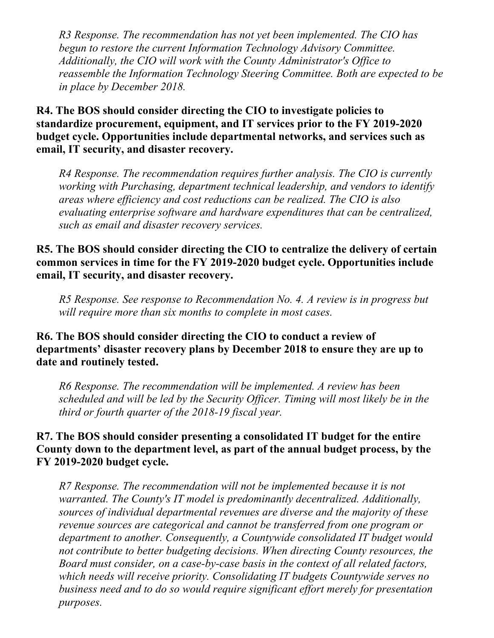*R3 Response. The recommendation has not yet been implemented. The CIO has begun to restore the current Information Technology Advisory Committee. Additionally, the CIO will work with the County Administrator's Office to reassemble the Information Technology Steering Committee. Both are expected to be in place by December 2018.*

**R4. The BOS should consider directing the CIO to investigate policies to standardize procurement, equipment, and IT services prior to the FY 2019-2020 budget cycle. Opportunities include departmental networks, and services such as email, IT security, and disaster recovery.**

*R4 Response. The recommendation requires further analysis. The CIO is currently working with Purchasing, department technical leadership, and vendors to identify areas where efficiency and cost reductions can be realized. The CIO is also evaluating enterprise software and hardware expenditures that can be centralized, such as email and disaster recovery services.* 

**R5. The BOS should consider directing the CIO to centralize the delivery of certain common services in time for the FY 2019-2020 budget cycle. Opportunities include email, IT security, and disaster recovery.**

*R5 Response. See response to Recommendation No. 4. A review is in progress but will require more than six months to complete in most cases.* 

**R6. The BOS should consider directing the CIO to conduct a review of departments' disaster recovery plans by December 2018 to ensure they are up to date and routinely tested.**

*R6 Response. The recommendation will be implemented. A review has been scheduled and will be led by the Security Officer. Timing will most likely be in the third or fourth quarter of the 2018-19 fiscal year.* 

## **R7. The BOS should consider presenting a consolidated IT budget for the entire County down to the department level, as part of the annual budget process, by the FY 2019-2020 budget cycle.**

*R7 Response. The recommendation will not be implemented because it is not warranted. The County's IT model is predominantly decentralized. Additionally, sources of individual departmental revenues are diverse and the majority of these revenue sources are categorical and cannot be transferred from one program or department to another. Consequently, a Countywide consolidated IT budget would not contribute to better budgeting decisions. When directing County resources, the Board must consider, on a case-by-case basis in the context of all related factors, which needs will receive priority. Consolidating IT budgets Countywide serves no business need and to do so would require significant effort merely for presentation purposes.*